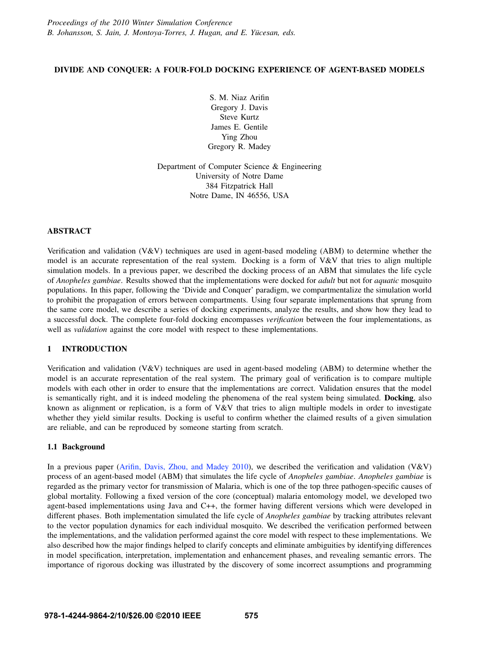## DIVIDE AND CONQUER: A FOUR-FOLD DOCKING EXPERIENCE OF AGENT-BASED MODELS

S. M. Niaz Arifin Gregory J. Davis Steve Kurtz James E. Gentile Ying Zhou Gregory R. Madey

Department of Computer Science & Engineering University of Notre Dame 384 Fitzpatrick Hall Notre Dame, IN 46556, USA

### ABSTRACT

Verification and validation (V&V) techniques are used in agent-based modeling (ABM) to determine whether the model is an accurate representation of the real system. Docking is a form of V&V that tries to align multiple simulation models. In a previous paper, we described the docking process of an ABM that simulates the life cycle of *Anopheles gambiae*. Results showed that the implementations were docked for *adult* but not for *aquatic* mosquito populations. In this paper, following the 'Divide and Conquer' paradigm, we compartmentalize the simulation world to prohibit the propagation of errors between compartments. Using four separate implementations that sprung from the same core model, we describe a series of docking experiments, analyze the results, and show how they lead to a successful dock. The complete four-fold docking encompasses *verification* between the four implementations, as well as *validation* against the core model with respect to these implementations.

## 1 INTRODUCTION

Verification and validation (V&V) techniques are used in agent-based modeling (ABM) to determine whether the model is an accurate representation of the real system. The primary goal of verification is to compare multiple models with each other in order to ensure that the implementations are correct. Validation ensures that the model is semantically right, and it is indeed modeling the phenomena of the real system being simulated. Docking, also known as alignment or replication, is a form of V&V that tries to align multiple models in order to investigate whether they yield similar results. Docking is useful to confirm whether the claimed results of a given simulation are reliable, and can be reproduced by someone starting from scratch.

## 1.1 Background

In a previous paper (Arifin, Davis, Zhou, and Madey 2010), we described the verification and validation (V&V) process of an agent-based model (ABM) that simulates the life cycle of *Anopheles gambiae*. *Anopheles gambiae* is regarded as the primary vector for transmission of Malaria, which is one of the top three pathogen-specific causes of global mortality. Following a fixed version of the core (conceptual) malaria entomology model, we developed two agent-based implementations using Java and C++, the former having different versions which were developed in different phases. Both implementation simulated the life cycle of *Anopheles gambiae* by tracking attributes relevant to the vector population dynamics for each individual mosquito. We described the verification performed between the implementations, and the validation performed against the core model with respect to these implementations. We also described how the major findings helped to clarify concepts and eliminate ambiguities by identifying differences in model specification, interpretation, implementation and enhancement phases, and revealing semantic errors. The importance of rigorous docking was illustrated by the discovery of some incorrect assumptions and programming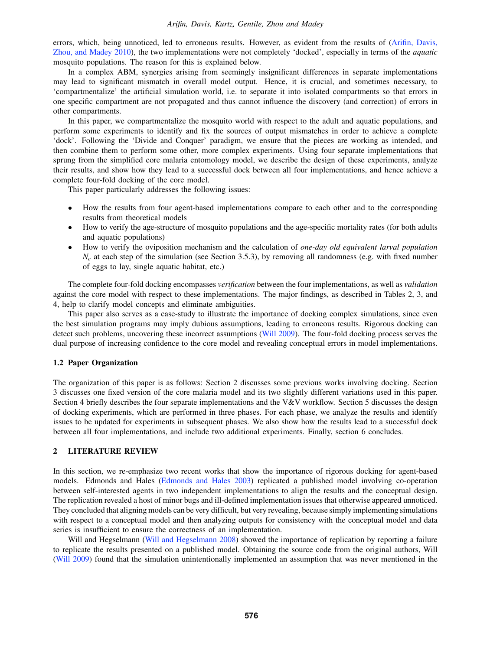errors, which, being unnoticed, led to erroneous results. However, as evident from the results of (Arifin, Davis, Zhou, and Madey 2010), the two implementations were not completely 'docked', especially in terms of the *aquatic* mosquito populations. The reason for this is explained below.

In a complex ABM, synergies arising from seemingly insignificant differences in separate implementations may lead to significant mismatch in overall model output. Hence, it is crucial, and sometimes necessary, to 'compartmentalize' the artificial simulation world, i.e. to separate it into isolated compartments so that errors in one specific compartment are not propagated and thus cannot influence the discovery (and correction) of errors in other compartments.

In this paper, we compartmentalize the mosquito world with respect to the adult and aquatic populations, and perform some experiments to identify and fix the sources of output mismatches in order to achieve a complete 'dock'. Following the 'Divide and Conquer' paradigm, we ensure that the pieces are working as intended, and then combine them to perform some other, more complex experiments. Using four separate implementations that sprung from the simplified core malaria entomology model, we describe the design of these experiments, analyze their results, and show how they lead to a successful dock between all four implementations, and hence achieve a complete four-fold docking of the core model.

This paper particularly addresses the following issues:

- How the results from four agent-based implementations compare to each other and to the corresponding results from theoretical models
- How to verify the age-structure of mosquito populations and the age-specific mortality rates (for both adults and aquatic populations)
- How to verify the oviposition mechanism and the calculation of *one-day old equivalent larval population*  $N_e$  at each step of the simulation (see Section 3.5.3), by removing all randomness (e.g. with fixed number of eggs to lay, single aquatic habitat, etc.)

The complete four-fold docking encompasses *verification* between the four implementations, as well as *validation* against the core model with respect to these implementations. The major findings, as described in Tables 2, 3, and 4, help to clarify model concepts and eliminate ambiguities.

This paper also serves as a case-study to illustrate the importance of docking complex simulations, since even the best simulation programs may imply dubious assumptions, leading to erroneous results. Rigorous docking can detect such problems, uncovering these incorrect assumptions (Will 2009). The four-fold docking process serves the dual purpose of increasing confidence to the core model and revealing conceptual errors in model implementations.

### 1.2 Paper Organization

The organization of this paper is as follows: Section 2 discusses some previous works involving docking. Section 3 discusses one fixed version of the core malaria model and its two slightly different variations used in this paper. Section 4 briefly describes the four separate implementations and the V&V workflow. Section 5 discusses the design of docking experiments, which are performed in three phases. For each phase, we analyze the results and identify issues to be updated for experiments in subsequent phases. We also show how the results lead to a successful dock between all four implementations, and include two additional experiments. Finally, section 6 concludes.

## 2 LITERATURE REVIEW

In this section, we re-emphasize two recent works that show the importance of rigorous docking for agent-based models. Edmonds and Hales (Edmonds and Hales 2003) replicated a published model involving co-operation between self-interested agents in two independent implementations to align the results and the conceptual design. The replication revealed a host of minor bugs and ill-defined implementation issues that otherwise appeared unnoticed. They concluded that aligning models can be very difficult, but very revealing, because simply implementing simulations with respect to a conceptual model and then analyzing outputs for consistency with the conceptual model and data series is insufficient to ensure the correctness of an implementation.

Will and Hegselmann (Will and Hegselmann 2008) showed the importance of replication by reporting a failure to replicate the results presented on a published model. Obtaining the source code from the original authors, Will (Will 2009) found that the simulation unintentionally implemented an assumption that was never mentioned in the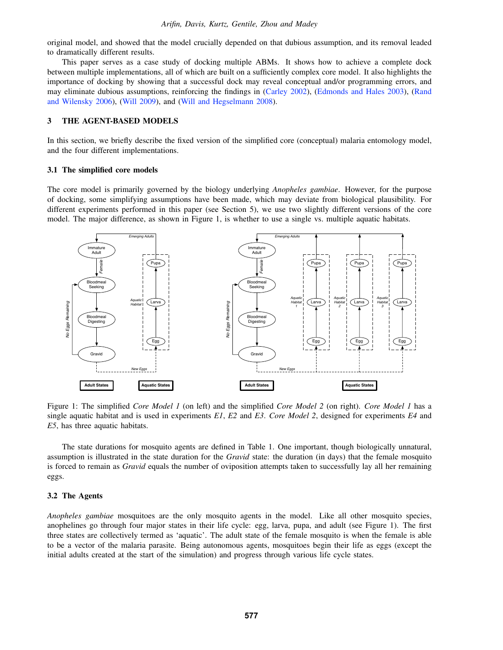original model, and showed that the model crucially depended on that dubious assumption, and its removal leaded to dramatically different results.

This paper serves as a case study of docking multiple ABMs. It shows how to achieve a complete dock between multiple implementations, all of which are built on a sufficiently complex core model. It also highlights the importance of docking by showing that a successful dock may reveal conceptual and/or programming errors, and may eliminate dubious assumptions, reinforcing the findings in (Carley 2002), (Edmonds and Hales 2003), (Rand and Wilensky 2006), (Will 2009), and (Will and Hegselmann 2008).

### 3 THE AGENT-BASED MODELS

In this section, we briefly describe the fixed version of the simplified core (conceptual) malaria entomology model, and the four different implementations.

### 3.1 The simplified core models

The core model is primarily governed by the biology underlying *Anopheles gambiae*. However, for the purpose of docking, some simplifying assumptions have been made, which may deviate from biological plausibility. For different experiments performed in this paper (see Section 5), we use two slightly different versions of the core model. The major difference, as shown in Figure 1, is whether to use a single vs. multiple aquatic habitats.



Figure 1: The simplified *Core Model 1* (on left) and the simplified *Core Model 2* (on right). *Core Model 1* has a single aquatic habitat and is used in experiments *E1*, *E2* and *E3*. *Core Model 2*, designed for experiments *E4* and *E5*, has three aquatic habitats.

The state durations for mosquito agents are defined in Table 1. One important, though biologically unnatural, assumption is illustrated in the state duration for the *Gravid* state: the duration (in days) that the female mosquito is forced to remain as *Gravid* equals the number of oviposition attempts taken to successfully lay all her remaining eggs.

### 3.2 The Agents

*Anopheles gambiae* mosquitoes are the only mosquito agents in the model. Like all other mosquito species, anophelines go through four major states in their life cycle: egg, larva, pupa, and adult (see Figure 1). The first three states are collectively termed as 'aquatic'. The adult state of the female mosquito is when the female is able to be a vector of the malaria parasite. Being autonomous agents, mosquitoes begin their life as eggs (except the initial adults created at the start of the simulation) and progress through various life cycle states.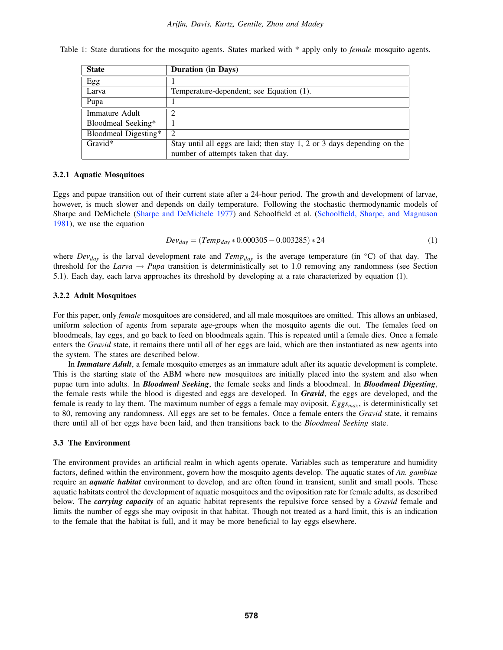| <b>State</b>         | <b>Duration</b> (in Days)                                               |
|----------------------|-------------------------------------------------------------------------|
| Egg                  |                                                                         |
| Larva                | Temperature-dependent; see Equation (1).                                |
| Pupa                 |                                                                         |
| Immature Adult       |                                                                         |
| Bloodmeal Seeking*   |                                                                         |
| Bloodmeal Digesting* | ↑                                                                       |
| Gravid*              | Stay until all eggs are laid; then stay 1, 2 or 3 days depending on the |
|                      | number of attempts taken that day.                                      |

Table 1: State durations for the mosquito agents. States marked with \* apply only to *female* mosquito agents.

### 3.2.1 Aquatic Mosquitoes

Eggs and pupae transition out of their current state after a 24-hour period. The growth and development of larvae, however, is much slower and depends on daily temperature. Following the stochastic thermodynamic models of Sharpe and DeMichele (Sharpe and DeMichele 1977) and Schoolfield et al. (Schoolfield, Sharpe, and Magnuson 1981), we use the equation

$$
Dev_{day} = (Temp_{day} * 0.000305 - 0.003285) * 24
$$
\n(1)

where *Dev<sub>day</sub>* is the larval development rate and *Temp<sub>day</sub>* is the average temperature (in °C) of that day. The threshold for the *Larva*  $\rightarrow$  *Pupa* transition is deterministically set to 1.0 removing any randomness (see Section 5.1). Each day, each larva approaches its threshold by developing at a rate characterized by equation (1).

### 3.2.2 Adult Mosquitoes

For this paper, only *female* mosquitoes are considered, and all male mosquitoes are omitted. This allows an unbiased, uniform selection of agents from separate age-groups when the mosquito agents die out. The females feed on bloodmeals, lay eggs, and go back to feed on bloodmeals again. This is repeated until a female dies. Once a female enters the *Gravid* state, it remains there until all of her eggs are laid, which are then instantiated as new agents into the system. The states are described below.

In *Immature Adult*, a female mosquito emerges as an immature adult after its aquatic development is complete. This is the starting state of the ABM where new mosquitoes are initially placed into the system and also when pupae turn into adults. In *Bloodmeal Seeking*, the female seeks and finds a bloodmeal. In *Bloodmeal Digesting*, the female rests while the blood is digested and eggs are developed. In *Gravid*, the eggs are developed, and the female is ready to lay them. The maximum number of eggs a female may oviposit, *Eggsmax*, is deterministically set to 80, removing any randomness. All eggs are set to be females. Once a female enters the *Gravid* state, it remains there until all of her eggs have been laid, and then transitions back to the *Bloodmeal Seeking* state.

### 3.3 The Environment

The environment provides an artificial realm in which agents operate. Variables such as temperature and humidity factors, defined within the environment, govern how the mosquito agents develop. The aquatic states of *An. gambiae* require an *aquatic habitat* environment to develop, and are often found in transient, sunlit and small pools. These aquatic habitats control the development of aquatic mosquitoes and the oviposition rate for female adults, as described below. The *carrying capacity* of an aquatic habitat represents the repulsive force sensed by a *Gravid* female and limits the number of eggs she may oviposit in that habitat. Though not treated as a hard limit, this is an indication to the female that the habitat is full, and it may be more beneficial to lay eggs elsewhere.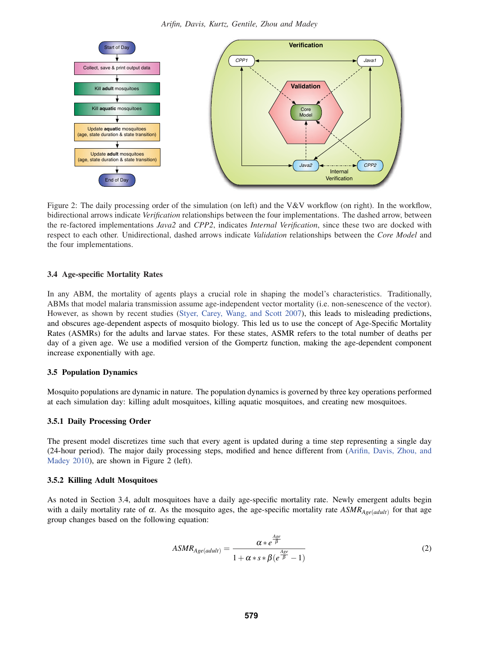

Figure 2: The daily processing order of the simulation (on left) and the V&V workflow (on right). In the workflow, bidirectional arrows indicate *Verification* relationships between the four implementations. The dashed arrow, between the re-factored implementations *Java2* and *CPP2*, indicates *Internal Verification*, since these two are docked with respect to each other. Unidirectional, dashed arrows indicate *Validation* relationships between the *Core Model* and the four implementations.

### 3.4 Age-specific Mortality Rates

In any ABM, the mortality of agents plays a crucial role in shaping the model's characteristics. Traditionally, ABMs that model malaria transmission assume age-independent vector mortality (i.e. non-senescence of the vector). However, as shown by recent studies (Styer, Carey, Wang, and Scott 2007), this leads to misleading predictions, and obscures age-dependent aspects of mosquito biology. This led us to use the concept of Age-Specific Mortality Rates (ASMRs) for the adults and larvae states. For these states, ASMR refers to the total number of deaths per day of a given age. We use a modified version of the Gompertz function, making the age-dependent component increase exponentially with age.

#### 3.5 Population Dynamics

Mosquito populations are dynamic in nature. The population dynamics is governed by three key operations performed at each simulation day: killing adult mosquitoes, killing aquatic mosquitoes, and creating new mosquitoes.

# 3.5.1 Daily Processing Order

The present model discretizes time such that every agent is updated during a time step representing a single day (24-hour period). The major daily processing steps, modified and hence different from (Arifin, Davis, Zhou, and Madey 2010), are shown in Figure 2 (left).

#### 3.5.2 Killing Adult Mosquitoes

As noted in Section 3.4, adult mosquitoes have a daily age-specific mortality rate. Newly emergent adults begin with a daily mortality rate of  $\alpha$ . As the mosquito ages, the age-specific mortality rate  $ASMR_{Age (adult)}$  for that age group changes based on the following equation:

$$
ASMR_{Age(adult)} = \frac{\alpha * e^{\frac{Age}{\beta}}}{1 + \alpha * s * \beta (e^{\frac{Age}{\beta}} - 1)}
$$
\n(2)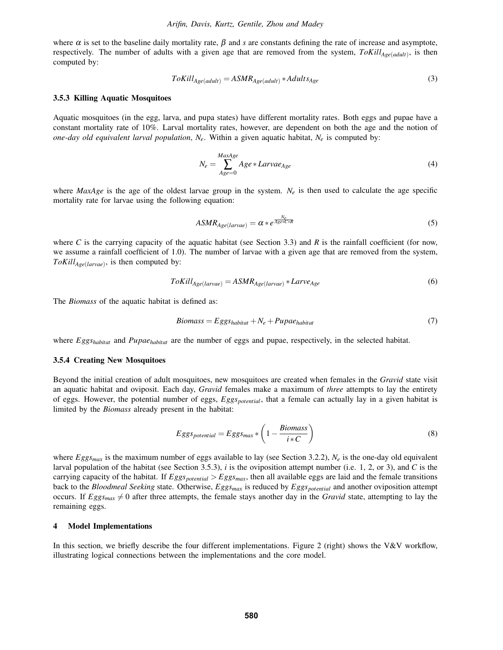where  $\alpha$  is set to the baseline daily mortality rate,  $\beta$  and *s* are constants defining the rate of increase and asymptote, respectively. The number of adults with a given age that are removed from the system,  $ToKill_{Age(adult)}$ , is then computed by:

$$
ToKill_{Age(adult)} = ASMR_{Age(adult)} * Adults_{Age}
$$
\n(3)

#### 3.5.3 Killing Aquatic Mosquitoes

Aquatic mosquitoes (in the egg, larva, and pupa states) have different mortality rates. Both eggs and pupae have a constant mortality rate of 10%. Larval mortality rates, however, are dependent on both the age and the notion of *one-day old equivalent larval population,*  $N_e$ . Within a given aquatic habitat,  $N_e$  is computed by:

$$
N_e = \sum_{Age=0}^{MaxAge} Age * Larvae_{Age}
$$
 (4)

where *MaxAge* is the age of the oldest larvae group in the system.  $N_e$  is then used to calculate the age specific mortality rate for larvae using the following equation:

$$
ASMR_{Age(larvae)} = \alpha * e^{\frac{N_c}{Age * C * R}}
$$
\n
$$
(5)
$$

where *C* is the carrying capacity of the aquatic habitat (see Section 3.3) and *R* is the rainfall coefficient (for now, we assume a rainfall coefficient of 1.0). The number of larvae with a given age that are removed from the system, *ToKillAge*(*larvae*), is then computed by:

$$
ToKill_{Age(larvae)} = ASMR_{Age(larvae)} * Larve_{Age}
$$
\n
$$
\tag{6}
$$

The *Biomass* of the aquatic habitat is defined as:

$$
Biomass = Eggs_{habitat} + N_e + Pupae_{habitat}
$$
\n(7)

where *Eggs<sub>habitat</sub>* and *Pupae<sub>habitat</sub>* are the number of eggs and pupae, respectively, in the selected habitat.

### 3.5.4 Creating New Mosquitoes

Beyond the initial creation of adult mosquitoes, new mosquitoes are created when females in the *Gravid* state visit an aquatic habitat and oviposit. Each day, *Gravid* females make a maximum of *three* attempts to lay the entirety of eggs. However, the potential number of eggs,  $Eggs_{potential}$ , that a female can actually lay in a given habitat is limited by the *Biomass* already present in the habitat:

$$
Eggs_{potential} = Eggs_{max} * \left(1 - \frac{Biomass}{i*C}\right)
$$
\n(8)

where  $Eggs_{max}$  is the maximum number of eggs available to lay (see Section 3.2.2),  $N_e$  is the one-day old equivalent larval population of the habitat (see Section 3.5.3), *i* is the oviposition attempt number (i.e. 1, 2, or 3), and *C* is the carrying capacity of the habitat. If  $Eggs_{potential} > Eggs_{max}$ , then all available eggs are laid and the female transitions back to the *Bloodmeal Seeking* state. Otherwise, *Eggsmax* is reduced by *Eggspotential* and another oviposition attempt occurs. If  $Eggs_{max} \neq 0$  after three attempts, the female stays another day in the *Gravid* state, attempting to lay the remaining eggs.

#### 4 Model Implementations

In this section, we briefly describe the four different implementations. Figure 2 (right) shows the V&V workflow, illustrating logical connections between the implementations and the core model.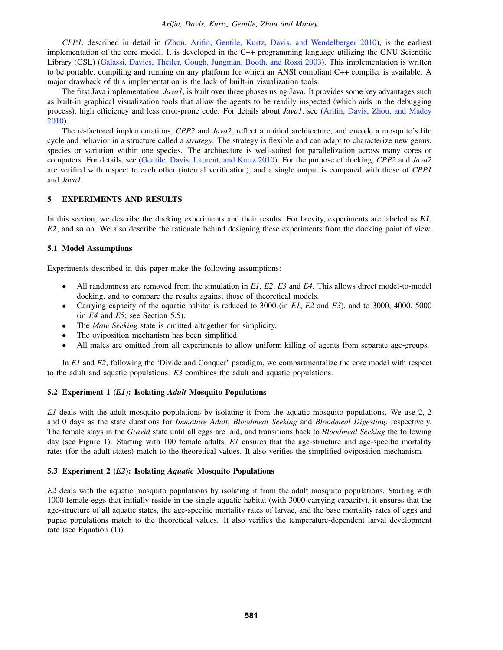*CPP1*, described in detail in (Zhou, Arifin, Gentile, Kurtz, Davis, and Wendelberger 2010), is the earliest implementation of the core model. It is developed in the C++ programming language utilizing the GNU Scientific Library (GSL) (Galassi, Davies, Theiler, Gough, Jungman, Booth, and Rossi 2003). This implementation is written to be portable, compiling and running on any platform for which an ANSI compliant C++ compiler is available. A major drawback of this implementation is the lack of built-in visualization tools.

The first Java implementation, *Java1*, is built over three phases using Java. It provides some key advantages such as built-in graphical visualization tools that allow the agents to be readily inspected (which aids in the debugging process), high efficiency and less error-prone code. For details about *Java1*, see (Arifin, Davis, Zhou, and Madey 2010).

The re-factored implementations, *CPP2* and *Java2*, reflect a unified architecture, and encode a mosquito's life cycle and behavior in a structure called a *strategy*. The strategy is flexible and can adapt to characterize new genus, species or variation within one species. The architecture is well-suited for parallelization across many cores or computers. For details, see (Gentile, Davis, Laurent, and Kurtz 2010). For the purpose of docking, *CPP2* and *Java2* are verified with respect to each other (internal verification), and a single output is compared with those of *CPP1* and *Java1*.

# 5 EXPERIMENTS AND RESULTS

In this section, we describe the docking experiments and their results. For brevity, experiments are labeled as *E1*, *E2*, and so on. We also describe the rationale behind designing these experiments from the docking point of view.

# 5.1 Model Assumptions

Experiments described in this paper make the following assumptions:

- All randomness are removed from the simulation in *E1*, *E2*, *E3* and *E4*. This allows direct model-to-model docking, and to compare the results against those of theoretical models.
- Carrying capacity of the aquatic habitat is reduced to 3000 (in *E1*, *E2* and *E3*), and to 3000, 4000, 5000 (in *E4* and *E5*; see Section 5.5).
- The *Mate Seeking* state is omitted altogether for simplicity.
- The oviposition mechanism has been simplified.
- All males are omitted from all experiments to allow uniform killing of agents from separate age-groups.

In *E1* and *E2*, following the 'Divide and Conquer' paradigm, we compartmentalize the core model with respect to the adult and aquatic populations. *E3* combines the adult and aquatic populations.

# 5.2 Experiment 1 (*E1*): Isolating *Adult* Mosquito Populations

*E1* deals with the adult mosquito populations by isolating it from the aquatic mosquito populations. We use 2, 2 and 0 days as the state durations for *Immature Adult*, *Bloodmeal Seeking* and *Bloodmeal Digesting*, respectively. The female stays in the *Gravid* state until all eggs are laid, and transitions back to *Bloodmeal Seeking* the following day (see Figure 1). Starting with 100 female adults, *E1* ensures that the age-structure and age-specific mortality rates (for the adult states) match to the theoretical values. It also verifies the simplified oviposition mechanism.

## 5.3 Experiment 2 (*E2*): Isolating *Aquatic* Mosquito Populations

*E2* deals with the aquatic mosquito populations by isolating it from the adult mosquito populations. Starting with 1000 female eggs that initially reside in the single aquatic habitat (with 3000 carrying capacity), it ensures that the age-structure of all aquatic states, the age-specific mortality rates of larvae, and the base mortality rates of eggs and pupae populations match to the theoretical values. It also verifies the temperature-dependent larval development rate (see Equation (1)).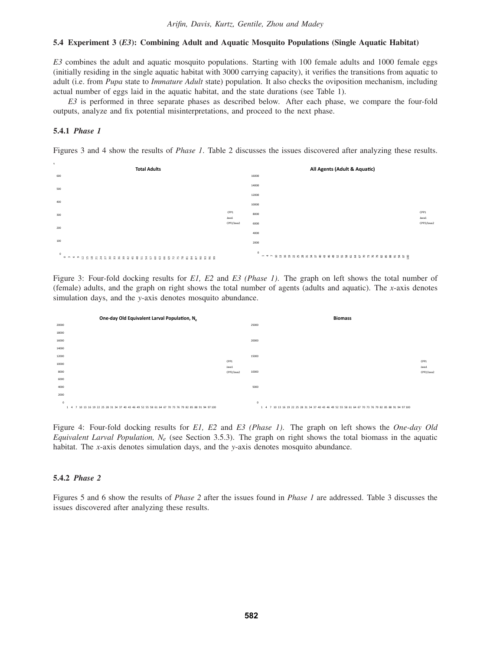### 5.4 Experiment 3 (*E3*): Combining Adult and Aquatic Mosquito Populations (Single Aquatic Habitat)

*E3* combines the adult and aquatic mosquito populations. Starting with 100 female adults and 1000 female eggs (initially residing in the single aquatic habitat with 3000 carrying capacity), it verifies the transitions from aquatic to adult (i.e. from *Pupa* state to *Immature Adult* state) population. It also checks the oviposition mechanism, including actual number of eggs laid in the aquatic habitat, and the state durations (see Table 1).

*E3* is performed in three separate phases as described below. After each phase, we compare the four-fold outputs, analyze and fix potential misinterpretations, and proceed to the next phase.

# 5.4.1 *Phase 1*

Figures 3 and 4 show the results of *Phase 1*. Table 2 discusses the issues discovered after analyzing these results.



Figure 3: Four-fold docking results for *E1, E2* and *E3 (Phase 1)*. The graph on left shows the total number of (female) adults, and the graph on right shows the total number of agents (adults and aquatic). The *x*-axis denotes simulation days, and the *y*-axis denotes mosquito abundance.

|         | One-day Old Equivalent Larval Population, N <sub>o</sub>                                            |               |            | <b>Biomass</b>                                                                                      |               |
|---------|-----------------------------------------------------------------------------------------------------|---------------|------------|-----------------------------------------------------------------------------------------------------|---------------|
| 20000   |                                                                                                     |               | 25000      |                                                                                                     |               |
| 18000   |                                                                                                     |               |            |                                                                                                     |               |
| 16000   |                                                                                                     |               | 20000      |                                                                                                     |               |
| 14000   |                                                                                                     |               |            |                                                                                                     |               |
| 12000   |                                                                                                     |               | 15000      |                                                                                                     |               |
| 10000   |                                                                                                     | CPP1<br>Java1 |            |                                                                                                     | CPP1<br>Java1 |
| 8000    |                                                                                                     | CPP2/Java2    | 10000      |                                                                                                     | CPP2/Java2    |
| 6000    |                                                                                                     |               |            |                                                                                                     |               |
| 4000    |                                                                                                     |               | 5000       |                                                                                                     |               |
| 2000    |                                                                                                     |               |            |                                                                                                     |               |
| $\circ$ |                                                                                                     |               | $^{\circ}$ |                                                                                                     |               |
|         | 1 4 7 10 13 16 19 22 25 28 31 34 37 40 43 46 49 52 55 58 61 64 67 70 73 76 79 82 85 88 91 94 97 100 |               |            | 1 4 7 10 13 16 19 22 25 28 31 34 37 40 43 46 49 52 55 58 61 64 67 70 73 76 79 82 85 88 91 94 97 100 |               |

Figure 4: Four-fold docking results for *E1, E2* and *E3 (Phase 1)*. The graph on left shows the *One-day Old Equivalent Larval Population, Ne* (see Section 3.5.3). The graph on right shows the total biomass in the aquatic habitat. The *x*-axis denotes simulation days, and the *y*-axis denotes mosquito abundance.

### 5.4.2 *Phase 2*

Figures 5 and 6 show the results of *Phase 2* after the issues found in *Phase 1* are addressed. Table 3 discusses the issues discovered after analyzing these results.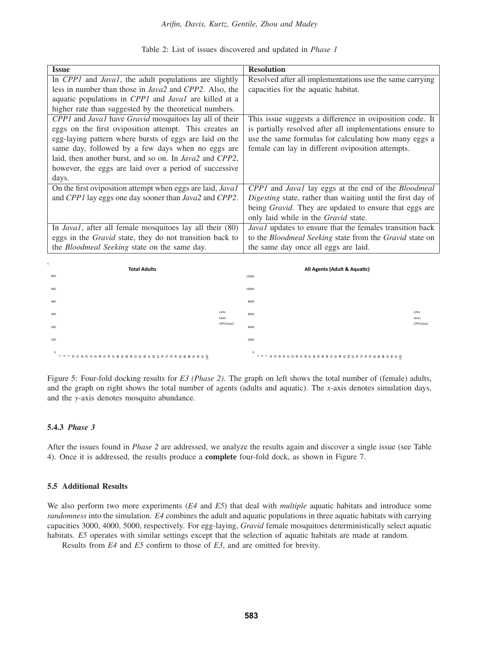| <b>Issue</b>                                                           | <b>Resolution</b>                                                     |
|------------------------------------------------------------------------|-----------------------------------------------------------------------|
| In CPP1 and Java1, the adult populations are slightly                  | Resolved after all implementations use the same carrying              |
| less in number than those in Java2 and CPP2. Also, the                 | capacities for the aquatic habitat.                                   |
| aquatic populations in CPP1 and Javal are killed at a                  |                                                                       |
| higher rate than suggested by the theoretical numbers.                 |                                                                       |
| CPP1 and Java1 have Gravid mosquitoes lay all of their                 | This issue suggests a difference in oviposition code. It              |
| eggs on the first oviposition attempt. This creates an                 | is partially resolved after all implementations ensure to             |
| egg-laying pattern where bursts of eggs are laid on the                | use the same formulas for calculating how many eggs a                 |
| same day, followed by a few days when no eggs are                      | female can lay in different oviposition attempts.                     |
| laid, then another burst, and so on. In <i>Java2</i> and <i>CPP2</i> , |                                                                       |
| however, the eggs are laid over a period of successive                 |                                                                       |
| days.                                                                  |                                                                       |
| On the first oviposition attempt when eggs are laid, Javal             | CPP1 and Java1 lay eggs at the end of the Bloodmeal                   |
| and CPP1 lay eggs one day sooner than Java2 and CPP2.                  | <i>Digesting</i> state, rather than waiting until the first day of    |
|                                                                        | being <i>Gravid</i> . They are updated to ensure that eggs are        |
|                                                                        | only laid while in the <i>Gravid</i> state.                           |
| In Javal, after all female mosquitoes lay all their (80)               | <i>Javal</i> updates to ensure that the females transition back       |
| eggs in the Gravid state, they do not transition back to               | to the <i>Bloodmeal Seeking</i> state from the <i>Gravid</i> state on |
| the <i>Bloodmeal Seeking</i> state on the same day.                    | the same day once all eggs are laid.                                  |

Table 2: List of issues discovered and updated in *Phase 1*



Figure 5: Four-fold docking results for *E3 (Phase 2)*. The graph on left shows the total number of (female) adults, and the graph on right shows the total number of agents (adults and aquatic). The *x*-axis denotes simulation days, and the *y*-axis denotes mosquito abundance.

### 5.4.3 *Phase 3*

After the issues found in *Phase 2* are addressed, we analyze the results again and discover a single issue (see Table 4). Once it is addressed, the results produce a complete four-fold dock, as shown in Figure 7.

## 5.5 Additional Results

We also perform two more experiments (*E4* and *E5*) that deal with *multiple* aquatic habitats and introduce some *randomness* into the simulation. *E4* combines the adult and aquatic populations in three aquatic habitats with carrying capacities 3000, 4000, 5000, respectively. For egg-laying, *Gravid* female mosquitoes deterministically select aquatic habitats. *E5* operates with similar settings except that the selection of aquatic habitats are made at random.

Results from *E4* and *E5* confirm to those of *E3*, and are omitted for brevity.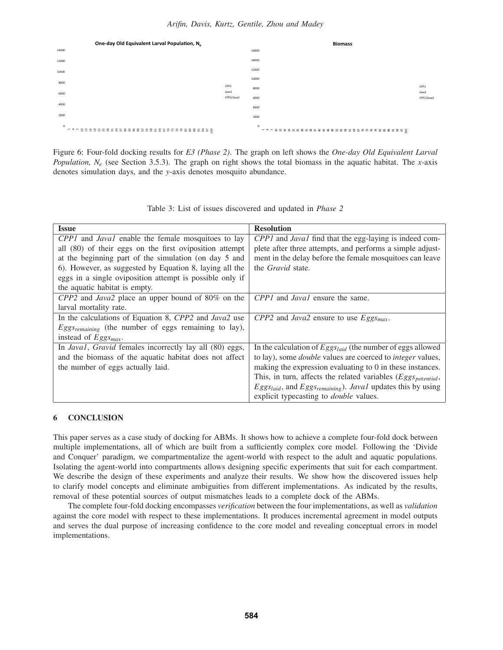

Figure 6: Four-fold docking results for *E3 (Phase 2)*. The graph on left shows the *One-day Old Equivalent Larval Population, Ne* (see Section 3.5.3). The graph on right shows the total biomass in the aquatic habitat. The *x*-axis denotes simulation days, and the *y*-axis denotes mosquito abundance.

| <b>Issue</b>                                                       | <b>Resolution</b>                                                        |  |  |  |  |
|--------------------------------------------------------------------|--------------------------------------------------------------------------|--|--|--|--|
| CPP1 and Java1 enable the female mosquitoes to lay                 | CPP1 and Java1 find that the egg-laying is indeed com-                   |  |  |  |  |
| all (80) of their eggs on the first oviposition attempt            | plete after three attempts, and performs a simple adjust-                |  |  |  |  |
| at the beginning part of the simulation (on day 5 and              | ment in the delay before the female mosquitoes can leave                 |  |  |  |  |
| 6). However, as suggested by Equation 8, laying all the            | the <i>Gravid</i> state.                                                 |  |  |  |  |
| eggs in a single oviposition attempt is possible only if           |                                                                          |  |  |  |  |
| the aquatic habitat is empty.                                      |                                                                          |  |  |  |  |
| CPP2 and Java2 place an upper bound of 80% on the                  | CPP1 and Java1 ensure the same.                                          |  |  |  |  |
| larval mortality rate.                                             |                                                                          |  |  |  |  |
| In the calculations of Equation 8, CPP2 and Java2 use              | CPP2 and Java2 ensure to use $Eggs_{max}$ .                              |  |  |  |  |
| $EggS$ <sub>remaining</sub> (the number of eggs remaining to lay), |                                                                          |  |  |  |  |
| instead of $Eggs_{max}$ .                                          |                                                                          |  |  |  |  |
| In Javal, Gravid females incorrectly lay all (80) eggs,            | In the calculation of $Eggs_{laid}$ (the number of eggs allowed          |  |  |  |  |
| and the biomass of the aquatic habitat does not affect             | to lay), some <i>double</i> values are coerced to <i>integer</i> values, |  |  |  |  |
| the number of eggs actually laid.                                  | making the expression evaluating to $0$ in these instances.              |  |  |  |  |
|                                                                    | This, in turn, affects the related variables $(Eggs_{potential},$        |  |  |  |  |
|                                                                    | $Eggs_{laid}$ , and $Eggs_{remaining}$ ). Javal updates this by using    |  |  |  |  |
|                                                                    | explicit typecasting to <i>double</i> values.                            |  |  |  |  |

|  |  |  | Table 3: List of issues discovered and updated in <i>Phase 2</i> |  |  |  |  |  |
|--|--|--|------------------------------------------------------------------|--|--|--|--|--|
|--|--|--|------------------------------------------------------------------|--|--|--|--|--|

## 6 CONCLUSION

This paper serves as a case study of docking for ABMs. It shows how to achieve a complete four-fold dock between multiple implementations, all of which are built from a sufficiently complex core model. Following the 'Divide and Conquer' paradigm, we compartmentalize the agent-world with respect to the adult and aquatic populations. Isolating the agent-world into compartments allows designing specific experiments that suit for each compartment. We describe the design of these experiments and analyze their results. We show how the discovered issues help to clarify model concepts and eliminate ambiguities from different implementations. As indicated by the results, removal of these potential sources of output mismatches leads to a complete dock of the ABMs.

The complete four-fold docking encompasses *verification* between the four implementations, as well as *validation* against the core model with respect to these implementations. It produces incremental agreement in model outputs and serves the dual purpose of increasing confidence to the core model and revealing conceptual errors in model implementations.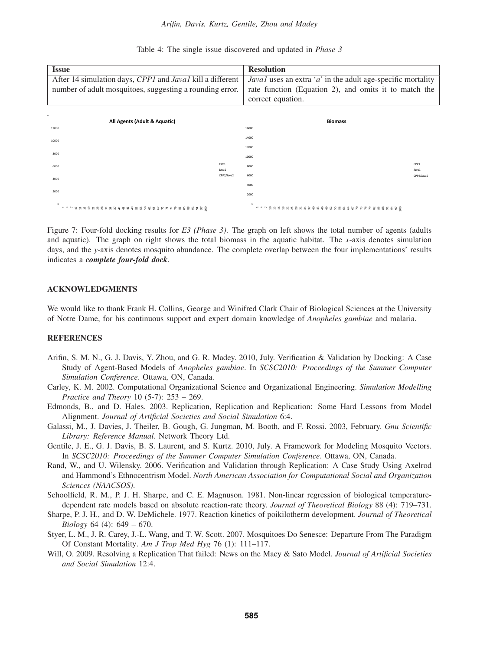| <b>Issue</b>                                              |                                                             | <b>Resolution</b> |                                                       |  |  |  |  |
|-----------------------------------------------------------|-------------------------------------------------------------|-------------------|-------------------------------------------------------|--|--|--|--|
| After 14 simulation days, CPP1 and Javal kill a different | Javal uses an extra 'a' in the adult age-specific mortality |                   |                                                       |  |  |  |  |
| number of adult mosquitoes, suggesting a rounding error.  |                                                             |                   | rate function (Equation 2), and omits it to match the |  |  |  |  |
|                                                           |                                                             | correct equation. |                                                       |  |  |  |  |
|                                                           |                                                             |                   |                                                       |  |  |  |  |
| All Agents (Adult & Aquatic)                              |                                                             | <b>Biomass</b>    |                                                       |  |  |  |  |
| 12000                                                     |                                                             | 16000             |                                                       |  |  |  |  |
| 10000                                                     |                                                             | 14000             |                                                       |  |  |  |  |
|                                                           |                                                             | 12000             |                                                       |  |  |  |  |
| 8000                                                      |                                                             | 10000             |                                                       |  |  |  |  |
| 6000                                                      | CPP1                                                        | 8000              | CPP1                                                  |  |  |  |  |
| 4000                                                      | Java1<br>CPP2/Java2                                         | 6000              | Java1<br>CPP2/Java2                                   |  |  |  |  |
|                                                           |                                                             | 4000              |                                                       |  |  |  |  |
| 2000                                                      |                                                             | 2000              |                                                       |  |  |  |  |
| 11992885569999885566666885568                             |                                                             |                   |                                                       |  |  |  |  |

Table 4: The single issue discovered and updated in *Phase 3*

Figure 7: Four-fold docking results for *E3 (Phase 3)*. The graph on left shows the total number of agents (adults and aquatic). The graph on right shows the total biomass in the aquatic habitat. The *x*-axis denotes simulation days, and the *y*-axis denotes mosquito abundance. The complete overlap between the four implementations' results indicates a *complete four-fold dock*.

# ACKNOWLEDGMENTS

We would like to thank Frank H. Collins, George and Winifred Clark Chair of Biological Sciences at the University of Notre Dame, for his continuous support and expert domain knowledge of *Anopheles gambiae* and malaria.

## **REFERENCES**

- Arifin, S. M. N., G. J. Davis, Y. Zhou, and G. R. Madey. 2010, July. Verification & Validation by Docking: A Case Study of Agent-Based Models of *Anopheles gambiae*. In *SCSC2010: Proceedings of the Summer Computer Simulation Conference*. Ottawa, ON, Canada.
- Carley, K. M. 2002. Computational Organizational Science and Organizational Engineering. *Simulation Modelling Practice and Theory* 10 (5-7): 253 – 269.
- Edmonds, B., and D. Hales. 2003. Replication, Replication and Replication: Some Hard Lessons from Model Alignment. *Journal of Artificial Societies and Social Simulation* 6:4.
- Galassi, M., J. Davies, J. Theiler, B. Gough, G. Jungman, M. Booth, and F. Rossi. 2003, February. *Gnu Scientific Library: Reference Manual*. Network Theory Ltd.
- Gentile, J. E., G. J. Davis, B. S. Laurent, and S. Kurtz. 2010, July. A Framework for Modeling Mosquito Vectors. In *SCSC2010: Proceedings of the Summer Computer Simulation Conference*. Ottawa, ON, Canada.
- Rand, W., and U. Wilensky. 2006. Verification and Validation through Replication: A Case Study Using Axelrod and Hammond's Ethnocentrism Model. *North American Association for Computational Social and Organization Sciences (NAACSOS)*.
- Schoolfield, R. M., P. J. H. Sharpe, and C. E. Magnuson. 1981. Non-linear regression of biological temperaturedependent rate models based on absolute reaction-rate theory. *Journal of Theoretical Biology* 88 (4): 719–731.
- Sharpe, P. J. H., and D. W. DeMichele. 1977. Reaction kinetics of poikilotherm development. *Journal of Theoretical Biology* 64 (4): 649 – 670.
- Styer, L. M., J. R. Carey, J.-L. Wang, and T. W. Scott. 2007. Mosquitoes Do Senesce: Departure From The Paradigm Of Constant Mortality. *Am J Trop Med Hyg* 76 (1): 111–117.
- Will, O. 2009. Resolving a Replication That failed: News on the Macy & Sato Model. *Journal of Artificial Societies and Social Simulation* 12:4.